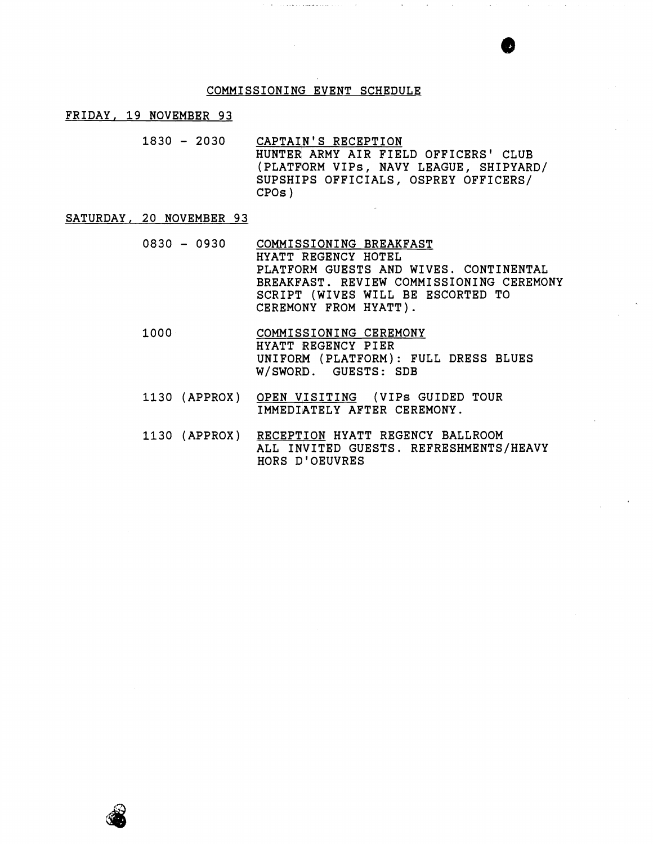#### COMMISSIONING EVENT SCHEDULE

#### FRIDAY, 19 NOVEMBER 93

1830 - 2030 CAPTAIN'S RECEPTION HUNTER ARMY AIR FIELD OFFICERS' CLUB (PLATFORM VIPs, NAVY LEAGUE, SHIPYARD/ SUPSHIPS OFFICIALS, OSPREY OFFICERS/ CPOs )

### SATURDAY, 20 NOVEMBER 93

- 0830 0930 COMMISSIONING BREAKFAST HYATT REGENCY HOTEL PLATFORM GUESTS AND WIVES. CONTINENTAL BREAKFAST. REVIEW COMMISSIONING CEREMONY SCRIPT (WIVES WILL BE ESCORTED TO CEREMONY FROM HYATT).
- COMMISSIONING CEREMONY 1000 HYATT REGENCY PIER UNIFORM (PLATFORM): FULL DRESS BLUES W/SWORD. GUESTS: SDB
- 1130 (APPROX) OPEN VISITING (VIPS GUIDED TOUR IMMEDIATELY AFTER CEREMONY.
- 1130 (APPROX) RECEPTION HYATT REGENCY BALLROOM ALL INVITED GUESTS. REFRESHMENTS/HEAVY HORS D'OEUVRES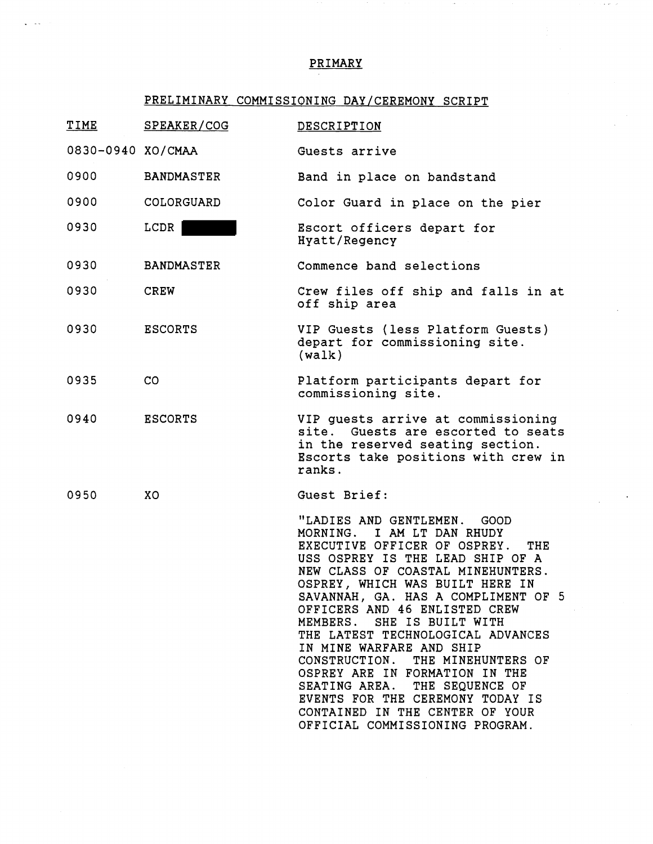# PRIMARY

 $\alpha$  as  $\beta$  as

# PRELIMINARY COMMISSIONING DAY/CEREMONY SCRIPT

| <b>TIME</b>       | SPEAKER/COG       | DESCRIPTION                                                                                                                                                                                                                                                                                                                                                                                                                                                                                                                                                                                              |
|-------------------|-------------------|----------------------------------------------------------------------------------------------------------------------------------------------------------------------------------------------------------------------------------------------------------------------------------------------------------------------------------------------------------------------------------------------------------------------------------------------------------------------------------------------------------------------------------------------------------------------------------------------------------|
| 0830-0940 XO/CMAA |                   | Guests arrive                                                                                                                                                                                                                                                                                                                                                                                                                                                                                                                                                                                            |
| 0900              | <b>BANDMASTER</b> | Band in place on bandstand                                                                                                                                                                                                                                                                                                                                                                                                                                                                                                                                                                               |
| 0900              | COLORGUARD        | Color Guard in place on the pier                                                                                                                                                                                                                                                                                                                                                                                                                                                                                                                                                                         |
| 0930              | LCDR              | Escort officers depart for<br>Hyatt/Regency                                                                                                                                                                                                                                                                                                                                                                                                                                                                                                                                                              |
| 0930              | <b>BANDMASTER</b> | Commence band selections                                                                                                                                                                                                                                                                                                                                                                                                                                                                                                                                                                                 |
| 0930              | <b>CREW</b>       | Crew files off ship and falls in at<br>off ship area                                                                                                                                                                                                                                                                                                                                                                                                                                                                                                                                                     |
| 0930              | <b>ESCORTS</b>    | VIP Guests (less Platform Guests)<br>depart for commissioning site.<br>(walk)                                                                                                                                                                                                                                                                                                                                                                                                                                                                                                                            |
| 0935              | CO                | Platform participants depart for<br>commissioning site.                                                                                                                                                                                                                                                                                                                                                                                                                                                                                                                                                  |
| 0940              | <b>ESCORTS</b>    | VIP guests arrive at commissioning<br>site. Guests are escorted to seats<br>in the reserved seating section.<br>Escorts take positions with crew in<br>ranks.                                                                                                                                                                                                                                                                                                                                                                                                                                            |
| 0950              | XO                | Guest Brief:                                                                                                                                                                                                                                                                                                                                                                                                                                                                                                                                                                                             |
|                   |                   | "LADIES AND GENTLEMEN.<br>GOOD.<br>MORNING. I AM LT DAN RHUDY<br>EXECUTIVE OFFICER OF OSPREY.<br>THE<br>USS OSPREY IS THE LEAD SHIP OF A<br>NEW CLASS OF COASTAL MINEHUNTERS.<br>OSPREY, WHICH WAS BUILT HERE IN<br>SAVANNAH, GA. HAS A COMPLIMENT OF 5<br>OFFICERS AND 46 ENLISTED CREW<br>MEMBERS. SHE IS BUILT WITH<br>THE LATEST TECHNOLOGICAL ADVANCES<br>IN MINE WARFARE AND SHIP<br>CONSTRUCTION. THE MINEHUNTERS OF<br>OSPREY ARE IN FORMATION IN THE<br>SEATING AREA. THE SEQUENCE OF<br>EVENTS FOR THE CEREMONY TODAY IS<br>CONTAINED IN THE CENTER OF YOUR<br>OFFICIAL COMMISSIONING PROGRAM. |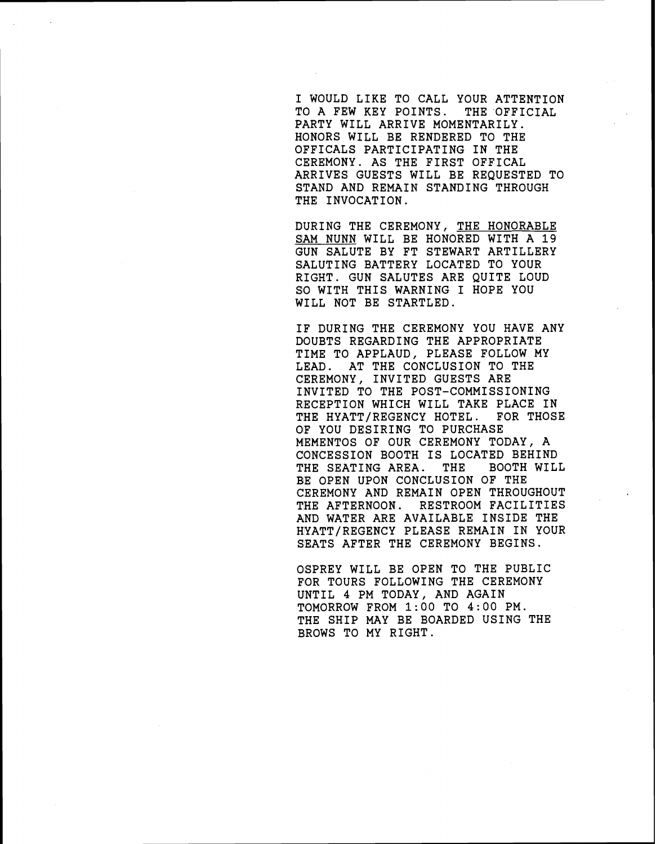I WOULD LIKE TO CALL YOUR ATTENTION TO A FEW KEY POINTS. THE OFFICIAL PARTY WILL ARRIVE MOMENTARILY. HONORS WILL BE RENDERED TO THE OFFICALS PARTICIPATING IN THE CEREMONY. AS THE FIRST OFFICAL ARRIVES GUESTS WILL BE REQUESTED TO STAND AND REMAIN STANDING THROUGH THE INVOCATION.

DURING THE CEREMONY, THE HONORABLE SAM NUNN WILL BE HONORED WITH A 19 GUN SALUTE BY FT STEWART ARTILLERY SALUTING BATTERY LOCATED TO YOUR RIGHT. GUN SALUTES ARE QUITE LOUD SO WITH THIS WARNING I HOPE YOU WILL NOT BE STARTLED.

IF DURING THE CEREMONY YOU HAVE ANY DOUBTS REGARDING THE APPROPRIATE TIME TO APPLAUD, PLEASE FOLLOW MY LEAD. AT THE CONCLUSION TO THE CEREMONY, INVITED GUESTS ARE INVITED TO THE POST-COMMISSIONING RECEPTION WHICH WILL TAKE PLACE IN<br>THE HYATT/REGENCY HOTEL. FOR THOSE THE HYATT/REGENCY HOTEL. OF YOU DESIRING TO PURCHASE MEMENTOS OF OUR CEREMONY TODAY, A CONCESSION BOOTH IS LOCATED BEHIND<br>THE SEATING AREA. THE BOOTH WILL THE SEATING AREA. THE BE OPEN UPON CONCLUSION OF THE C'EREMONY AND REMAIN OPEN THROUGHOUT THE AFTERNOON. RESTROOM FACILITIES AND WATER ARE AVAILABLE INSIDE THE HYATT/REGENCY PLEASE REMAIN IN YOUR SEATS AFTER THE CEREMONY BEGINS.

OSPREY WILL BE OPEN TO THE PUBLIC FOR TOURS FOLLOWING THE CEREMONY UNTIL 4 PM TODAY, AND AGAIN TIOMORROW FROM **1:00** TO **4:00** PM. THE SHIP MAY BE BOARDED USING THE BROWS TO MY RIGHT.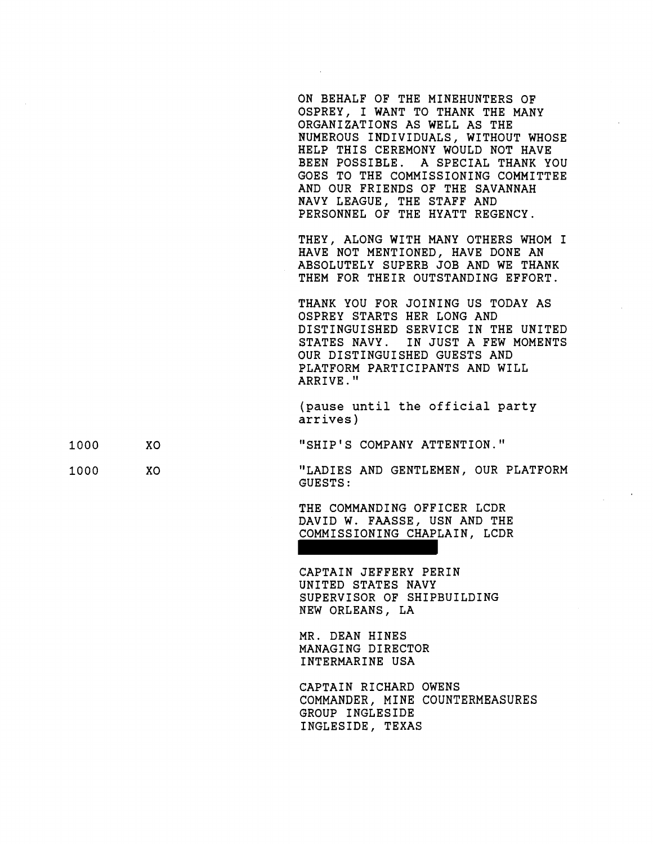ON BEHALF OF THE MINEHUNTERS OF OSPREY, I WANT TO THANK THE MANY ORGANIZATIONS AS WELL AS THE NUMEROUS INDIVIDUALS, WITHOUT WHOSE BELP THIS CEREMONY WOULD NOT HAVE BEEN POSSIBLE. A SPECIAL THANK YOU GOES TO THE COMMISSIONING COMMITTEE AND OUR FRIENDS OF THE SAVANNAH NAVY LEAGUE, THE STAFF AND PERSONNEL OF THE HYATT REGENCY.

THEY, ALONG WITH MANY OTHERS WHOM I BAVE NOT MENTIONED, HAVE DONE AN ABSOLUTELY SUPERB JOB AND WE THANK THEM FOR THEIR OUTSTANDING EFFORT.

THANK YOU FOR JOINING US TODAY AS OSPREY STARTS HER LONG AND DISTINGUISHED SERVICE IN THE UNITED \$TATES NAVY. IN JUST A FEW MOMENTS OUR DISTINGUISHED GUESTS AND PLATFORM PARTICIPANTS AND WILL ARRIVE. "

(pause until the official party arrives )

"SHIP'S COMPANY ATTENTION."

"LADIES AND GENTLEMEN, OUR PLATFORM GUESTS :

THE COMMANDING OFFICER LCDR DAVID W. FAASSE, USN AND THE COMMISSIONING CHAPLAIN, LCDR

CAPTAIN JEFFERY PERIN UNITED STATES NAVY \$UPERVISOR OF SHIPBUILDING MEW ORLEANS, LA

MR. DEAN HINES MANAGING DIRECTOR INTERMARINE USA

CAPTAIN RICHARD OWENS COMMANDER, MINE COUNTERMEASURES GROUP INGLESIDE INGLESIDE, TEXAS

- 1000 XO
- 1000

XO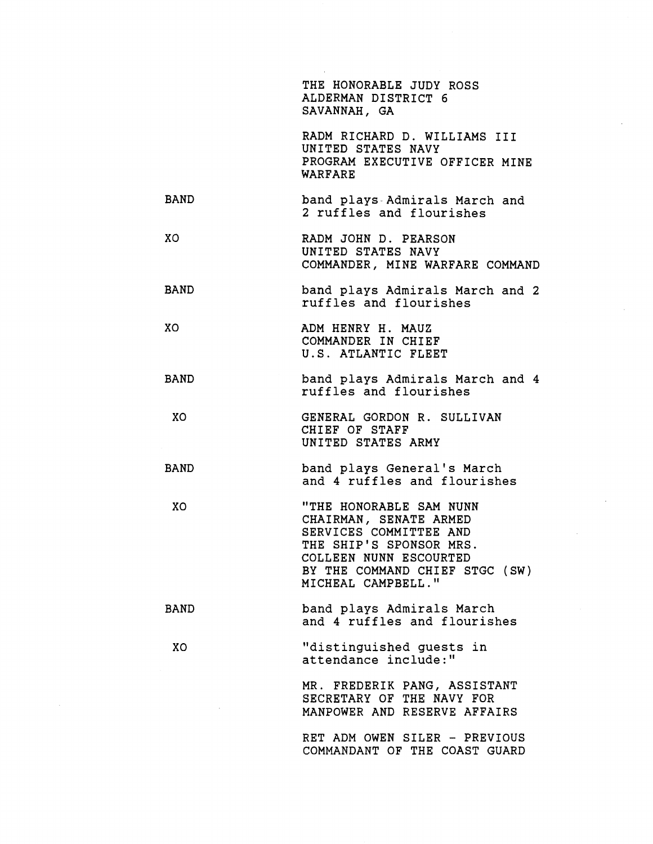THE HONORABLE JUDY ROSS ALDERMAN DISTRICT 6 SAVANNAH, GA

RADM RICHARD D. WILLIAMS I11 UNITED STATES NAVY PROGRAM EXECUTIVE OFFICER MINE WARFARE

- BAND band plays- Admirals March and 2 ruffles and flourishes
- XO RADM JOHN D. PEARSON UNITED STATES NAVY COMMANDER, MINE WARFARE COMMAND
- BAND band plays Admirals March and 2 ruffles and flourishes
- XO ADM HENRY H. MAUZ COMMANDER IN CHIEF U.S. ATLANTIC FLEET
- BAND band plays Admirals March and 4 ruffles and flourishes
- XO GENERAL GORDON R. SULLIVAN CHIEF OF STAFF UNITED STATES ARMY
- BAND band plays General's March and 4 ruffles and flourishes
	- XO "THE HONORABLE SAM NUNN CHAIRMAN, SENATE ARMED SERVICES COMMITTEE AND THE SHIP'S SPONSOR MRS. COLLEEN NUNN ESCOURTED BY THE COMMAND CHIEF STGC (SW) MICHEAL CAMPBELL."
- BAND band plays Admirals March and 4 ruffles and flourishes

XO "distinguished guests in attendance include:"

> MR. FREDERIK PANG, ASSISTANT SECRETARY OF THE NAVY FOR MANPOWER AND RESERVE AFFAIRS

RET ADM OWEN SILER - PREVIOUS COMMANDANT OF THE COAST GUARD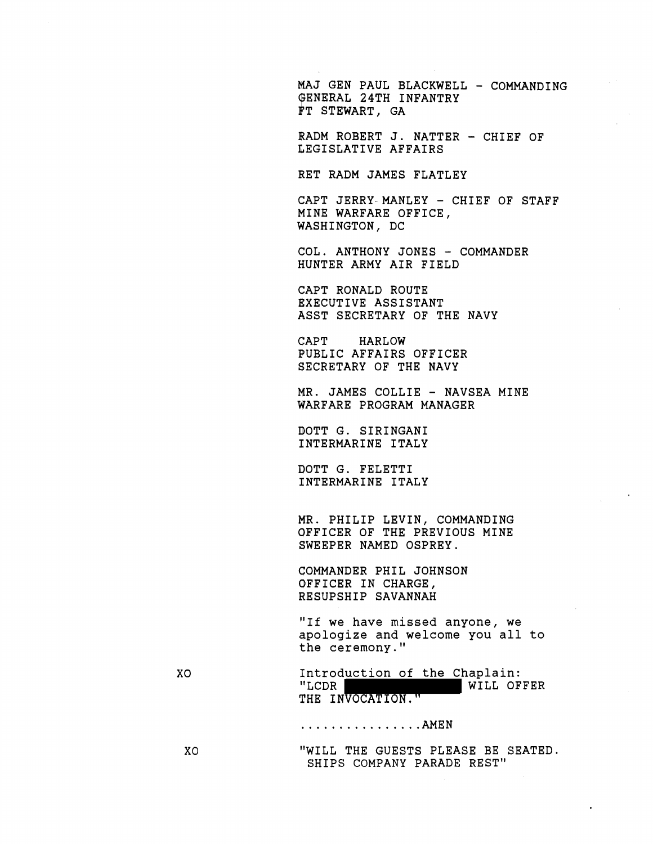MAJ GEN PAUL BLACKWELL - COMMANDING GENERAL 24TH INFANTRY FT STEWART, GA

RADM ROBERT J. NATTER - CHIEF OF LEGISLATIVE AFFAIRS

RET RADM JAMES FLATLEY

CAPT JERRY-MANLEY - CHIEF OF STAFF MINE WARFARE OFFICE, WASHINGTON, DC

COL. ANTHONY JONES - COMMANDER HUNTER ARMY AIR FIELD

CAPT RONALD ROUTE EXECUTIVE ASSISTANT ASST SECRETARY OF THE NAVY

CAPT HARLOW PUBLIC AFFAIRS OFFICER SECRETARY OF THE NAVY

MR. JAMES COLLIE - NAVSEA MINE WARFARE PROGRAM MANAGER

DOTT G. SIRINGANI INTERMARINE ITALY

DOTT G. FELETTI INTERMARINE ITALY

MR. PHILIP LEVIN, COMMANDING OFFICER OF THE PREVIOUS MINE SWEEPER NAMED OSPREY.

COMMANDER PHIL JOHNSON OFFICER IN CHARGE, RESUPSHIP SAVANNAH

"If we have missed anyone, we apologize and welcome you all to the ceremony."

Introduction of the Chaplain:<br>"LCDR WILL OF XO WILL OFFER THE INVOCATION."

................ AMEN

"WILL THE GUESTS PLEASE BE SEATED. SHIPS COMPANY PARADE REST"

XO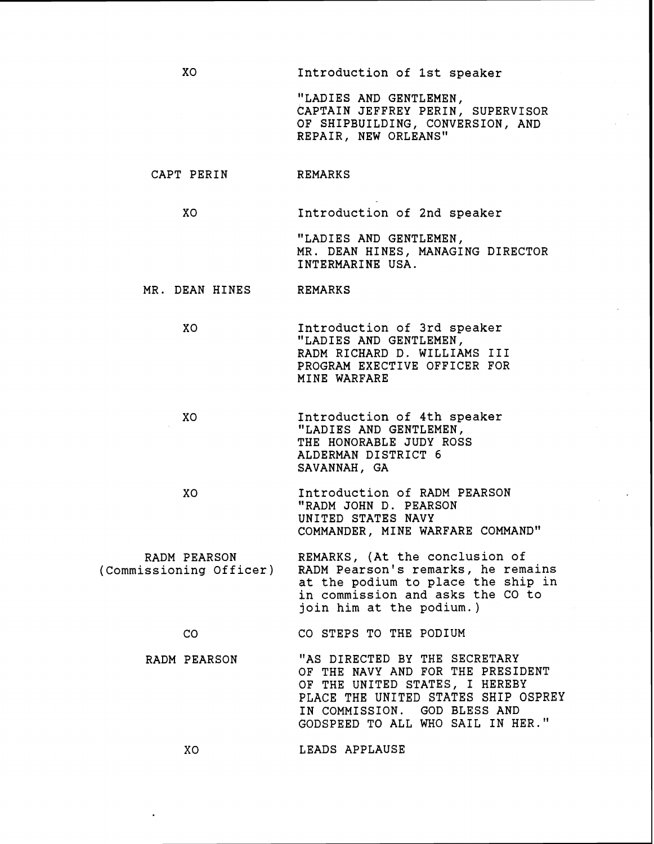Entroduction of 1st speaker

"LADIES AND GENTLEMEN, CAPTAIN JEFFREY PERIN, SUPERVISOR OF SHIPBUILDING, CONVERSION, AND REPAIR, NEW ORLEANS"

### CAPT PERIN REMARKS

XO

XO Introduction of 2nd speaker

"LADIES AND GENTLEMEN, MR. DEAN HINES, MANAGING DIRECTOR INTERMARINE USA.

## MR. DEAN HINES REMARKS

- XO Introduction of 3rd speaker "LADIES AND GENTLEMEN, RADM RICHARD D. WILLIAMS I11 PROGRAM EXECTIVE OFFICER FOR MINE WARFARE
- XO Introduction of 4th speaker "LADIES AND GENTLEMEN, THE HONORABLE JUDY ROSS ALDERMAN DISTRICT 6 \$AVANNAH, GA
	- XO Introduction of RADM PEARSON "RADM JOHN D. PEARSON UNITED STATES NAVY COMMANDER, MINE WARFARE COMMAND"

RADM PEARSON REMARKS, (At the conclusion of<br>Commissioning Officer) RADM Pearson's remarks, he rem RADM Pearson's remarks, he remains at the podium to place the ship in in commission and asks the CO to join him at the podium.)

### CO CO STEPS TO THE PODIUM

RADM PEARSON "AS DIRECTED BY THE SECRETARY OF THE NAVY AND FOR THE PRESIDENT OF THE UNITED STATES, I HEREBY PLACE THE UNITED STATES SHIP OSPREY EN COMMISSION. GOD BLESS AND GODSPEED TO ALL WHO SAIL IN HER."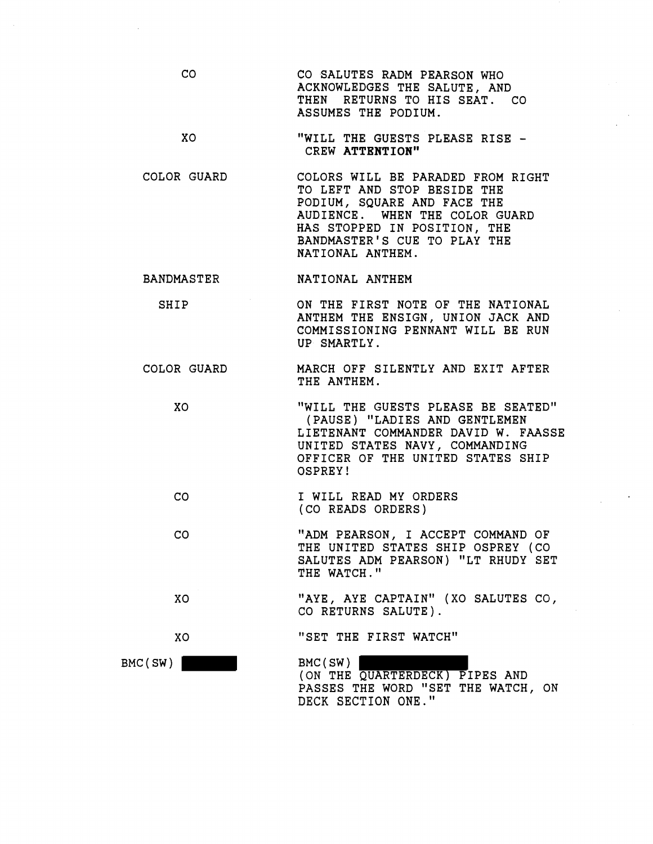- $CO$ CO SALUTES RADM PEARSON WHO ACKNOWLEDGES THE SALUTE, AND THEN RETURNS TO HIS SEAT. CO ASSUMES THE PODIUM.
- XO "WILL THE GUESTS PLEASE RISE - CREW ATTENTION"
- COLOR GUARD COLORS WILL BE PARADED FROM RIGHT TO LEFT AND STOP BESIDE THE PODIUM, SQUARE AND FACE THE AUDIENCE. WHEN THE COLOR GUARD HAS STOPPED IN POSITION, THE BANDMASTER'S CUE TO PLAY THE NATIONAL ANTHEM.
- BANDMASTER NATIONAL ANTHEM

XO

XO

BMC(SW)

- SHIP ON THE FIRST NOTE OF THE NATIONAL ANTHEM THE ENSIGN, UNION JACK AND COMMISSIONING PENNANT WILL BE RUN UP SMARTLY.
- COLOR GUARD MARCH OFF SILENTLY AND EXIT AFTER THE ANTHEM.
	- xo "WILL THE GUESTS PLEASE BE SEATED" (PAUSE) "LADIES AND GENTLEMEN LIETENANT COMMANDER DAVID W. FAASSE UNITED STATES NAVY, COMMANDING OFFICER OF THE UNITED STATES SHIP OSPREY!
	- $CO$ I WILL READ MY ORDERS (CO READS ORDERS)
	- $CO$ "ADM PEARSON, I ACCEPT COMMAND OF THE UNITED STATES SHIP OSPREY (CO SALUTES ADM PEARSON) "LT RHUDY SET THE WATCH."
		- "AYE, AYE CAPTAIN" (XO SALUTES CO, CO RETURNS SALUTE).
			- "SET THE FIRST WATCH"
				- BMC(SW) (ON THE QUARTERDECK) PIPES AND PASSES THE WORD "SET THE WATCH, ON DECK SECTION ONE."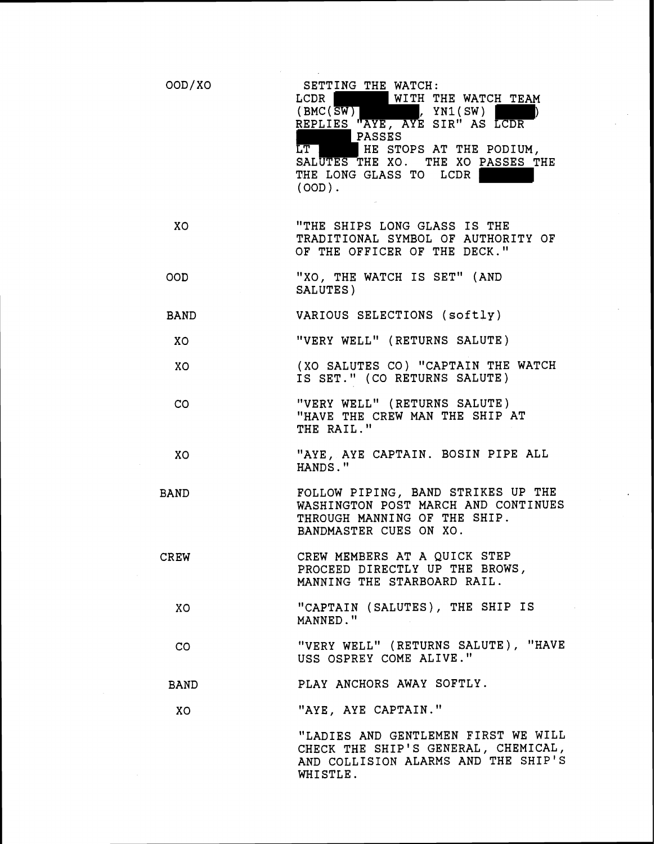| OOD/XO      | SETTING THE WATCH:<br>WITH THE WATCH TEAM<br>LCDR<br>$(\text{BMC}(\overline{\text{SW}}))$ , $\text{YN1}(\text{SW})$<br>REPLIES "AYE, AYE SIR" AS LCDR<br>PASSES<br>LT HE STOPS AT THE PODIUM,<br>SALUTES THE XO. THE XO PASSES THE<br>THE LONG GLASS TO LCDR<br>$(OOD)$ . |
|-------------|---------------------------------------------------------------------------------------------------------------------------------------------------------------------------------------------------------------------------------------------------------------------------|
| XO          | "THE SHIPS LONG GLASS IS THE<br>TRADITIONAL SYMBOL OF AUTHORITY OF<br>OF THE OFFICER OF THE DECK."                                                                                                                                                                        |
| OOD         | "XO, THE WATCH IS SET" (AND<br>SALUTES)                                                                                                                                                                                                                                   |
| BAND        | VARIOUS SELECTIONS (softly)                                                                                                                                                                                                                                               |
| XO          | "VERY WELL" (RETURNS SALUTE)                                                                                                                                                                                                                                              |
| XO          | (XO SALUTES CO) "CAPTAIN THE WATCH<br>IS SET." (CO RETURNS SALUTE)                                                                                                                                                                                                        |
| CO          | "VERY WELL" (RETURNS SALUTE)<br>"HAVE THE CREW MAN THE SHIP AT<br>THE RAIL."                                                                                                                                                                                              |
| XO          | "AYE, AYE CAPTAIN. BOSIN PIPE ALL<br>HANDS."                                                                                                                                                                                                                              |
| <b>BAND</b> | FOLLOW PIPING, BAND STRIKES UP THE<br>WASHINGTON POST MARCH AND CONTINUES<br>THROUGH MANNING OF THE SHIP.<br>BANDMASTER CUES ON XO.                                                                                                                                       |
| <b>CREW</b> | CREW MEMBERS AT A QUICK STEP<br>PROCEED DIRECTLY UP THE BROWS,<br>MANNING THE STARBOARD RAIL.                                                                                                                                                                             |
| XO.         | "CAPTAIN (SALUTES), THE SHIP IS<br>MANNED."                                                                                                                                                                                                                               |
| $\rm{CO}$   | "VERY WELL" (RETURNS SALUTE), "HAVE<br>USS OSPREY COME ALIVE."                                                                                                                                                                                                            |
| <b>BAND</b> | PLAY ANCHORS AWAY SOFTLY.                                                                                                                                                                                                                                                 |
| XO.         | "AYE, AYE CAPTAIN."                                                                                                                                                                                                                                                       |
|             | "LADIES AND GENTLEMEN FIRST WE WILL<br>CHECK THE SHIP'S GENERAL, CHEMICAL,<br>AND COLLISION ALARMS AND THE SHIP'S<br>WHISTLE.                                                                                                                                             |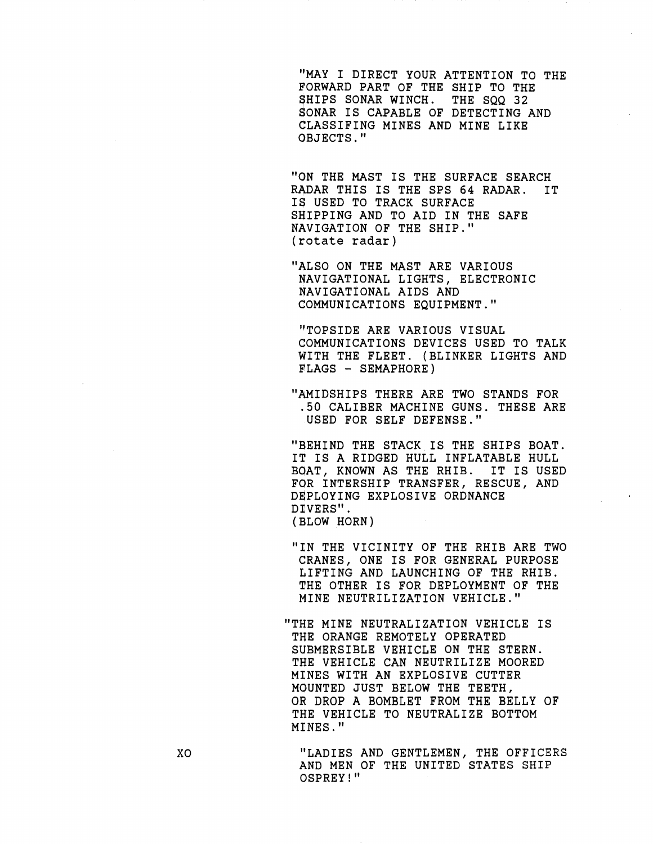"MAY I DIRECT YOUR ATTENTION TO THE FORWARD PART OF THE SHIP TO THE SHIPS SONAR WINCH. THE SQQ 32 SHIPS SONAR WINCH. SONAR IS CAPABLE OF DETECTING AND CLASSIFING MINES AND MINE LIKE OBJECTS. "

"ON THE MAST IS THE SURFACE SEARCH R&DAR THIS IS THE SPS 64 RADAR. IT Ig USED TO TRACK SURFACE SHIPPING AND TO AID IN THE SAFE NAVIGATION OF THE SHIP." (rotate radar)

"ALSO ON THE MAST ARE VARIOUS NAVIGATIONAL LIGHTS, ELECTRONIC NAVIGATIONAL AIDS AND COMMUNICATIONS EQUIPMENT."

"TOPSIDE ARE VARIOUS VISUAL COMMUNICATIONS DEVICES USED TO TALK WITH THE FLEET. (BLINKER LIGHTS AND FLAGS - SEMAPHORE)

"AMIDSHIPS THERE ARE TWO STANDS FOR .50 CALIBER MACHINE GUNS. THESE ARE USED FOR SELF DEFENSE."

"BEHIND THE STACK IS THE SHIPS BOAT. IT IS A RIDGED HULL INFLATABLE HULL BQAT, KNOWN AS THE RHIB. IT IS USED FQR INTERSHIP TRANSFER, RESCUE, AND DEPLOYING EXPLOSIVE ORDNANCE DIVERS". (BLOW HORN)

"IN THE VICINITY OF THE RHIB ARE TWO CRANES, ONE IS FOR GENERAL PURPOSE LIFTING AND LAUNCHING OF THE RHIB. THE OTHER IS FOR DEPLOYMENT OF THE MINE NEUTRILIZATION VEHICLE."

"THE MINE NEUTRALIZATION VEHICLE IS THE ORANGE REMOTELY OPERATED SUBMERSIBLE VEHICLE ON THE STERN. THE VEHICLE CAN NEUTRILIZE MOORED MINES WITH AN EXPLOSIVE CUTTER MQUNTED JUST BELOW THE TEETH, OR DROP **A** BOMBLET FROM THE BELLY OF THE VEHICLE TO NEUTRALIZE BOTTOM MINES. "

"LADIES AND GENTLEMEN, THE OFFICERS AND MEN OF THE UNITED STATES SHIP OSPREY! "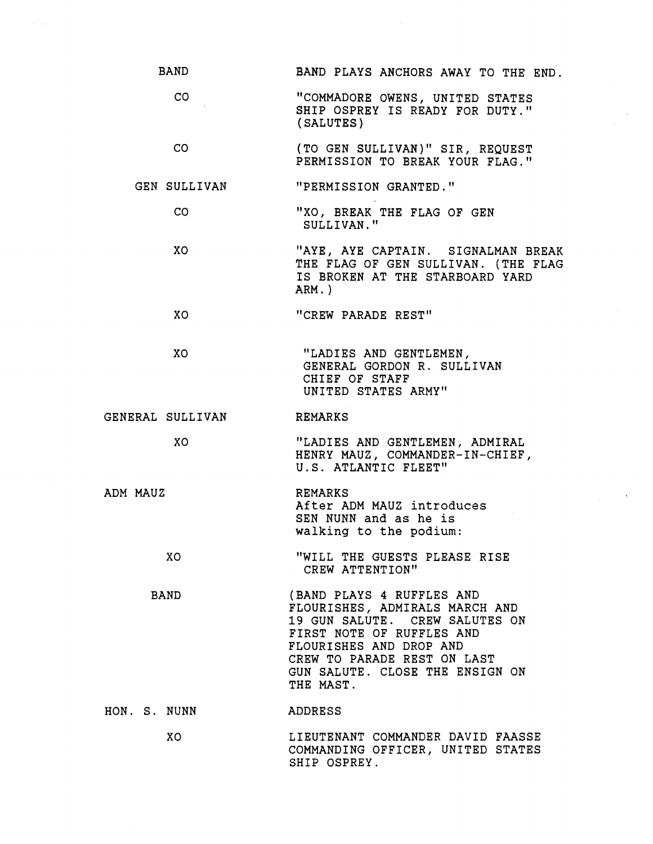| <b>BAND</b>      | BAND PLAYS ANCHORS AWAY TO THE END.                                                                                                                                                                                                  |
|------------------|--------------------------------------------------------------------------------------------------------------------------------------------------------------------------------------------------------------------------------------|
| CO <sub>2</sub>  | "COMMADORE OWENS, UNITED STATES<br>SHIP OSPREY IS READY FOR DUTY."<br>(SALUTES)                                                                                                                                                      |
| CO <sub>2</sub>  | (TO GEN SULLIVAN)" SIR, REQUEST<br>PERMISSION TO BREAK YOUR FLAG."                                                                                                                                                                   |
| GEN SULLIVAN     | "PERMISSION GRANTED."                                                                                                                                                                                                                |
| CO.              | "XO, BREAK THE FLAG OF GEN<br>SULLIVAN."                                                                                                                                                                                             |
| XO.              | "AYE, AYE CAPTAIN. SIGNALMAN BREAK<br>THE FLAG OF GEN SULLIVAN. (THE FLAG<br>IS BROKEN AT THE STARBOARD YARD<br>$ARN.$ )                                                                                                             |
| XO.              | "CREW PARADE REST"                                                                                                                                                                                                                   |
| XO.              | "LADIES AND GENTLEMEN,<br>GENERAL GORDON R. SULLIVAN<br>CHIEF OF STAFF<br>UNITED STATES ARMY"                                                                                                                                        |
| GENERAL SULLIVAN | REMARKS                                                                                                                                                                                                                              |
| XO               | "LADIES AND GENTLEMEN, ADMIRAL<br>HENRY MAUZ, COMMANDER-IN-CHIEF,<br>U.S. ATLANTIC FLEET"                                                                                                                                            |
| ADM MAUZ         | REMARKS<br>After ADM MAUZ introduces<br>SEN NUNN and as he is<br>walking to the podium:                                                                                                                                              |
| XO               | "WILL THE GUESTS PLEASE RISE<br>CREW ATTENTION"                                                                                                                                                                                      |
| <b>BAND</b>      | (BAND PLAYS 4 RUFFLES AND<br>FLOURISHES, ADMIRALS MARCH AND<br>19 GUN SALUTE. CREW SALUTES ON<br>FIRST NOTE OF RUFFLES AND<br>FLOURISHES AND DROP AND<br>CREW TO PARADE REST ON LAST<br>GUN SALUTE. CLOSE THE ENSIGN ON<br>THE MAST. |
| HON. S. NUNN     | ADDRESS                                                                                                                                                                                                                              |
| XO               | LIEUTENANT COMMANDER DAVID FAASSE                                                                                                                                                                                                    |

 $\sim$ 

SHIP OSPREY.

COMMANDING OFFICER, UNITED STATES

 $\sim$   $\alpha$ 

 $\mathcal{L}^{\text{max}}$